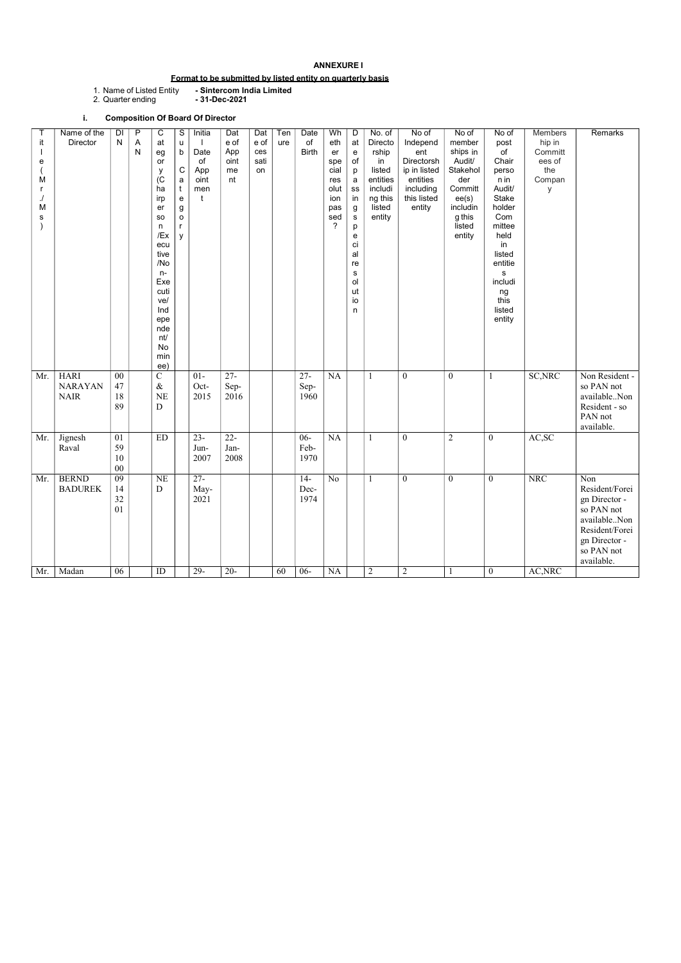#### ANNEXURE I

# Format to be submitted by listed entity on quarterly basis

1. Name of Listed Entity<br>2. Quarter ending

- Sintercom India Limited<br>- 31-Dec-2021

# i. Composition Of Board Of Director

| е<br>M<br>M<br>s |                                              |                            | eg<br>or<br>у<br>(C)<br>ha<br>irp<br>er<br><b>SO</b><br>n<br>/Ex<br>ecu<br>tive<br>/No<br>$n-$<br>Exe<br>cuti<br>ve/<br>Ind<br>epe<br>nde<br>nt/<br>No<br>min<br>ee) | $\mathsf b$<br>$\mathsf C$<br>$\mathbf a$<br>$\mathfrak{t}$<br>${\bf e}$<br>g<br>$\circ$<br>$\mathsf{r}$<br>y | Date<br>of<br>App<br>oint<br>men<br>t | App<br>oint<br>me<br>nt | ces<br>sati<br>on |    | <b>Birth</b>                    | er<br>spe<br>cial<br>res<br>olut<br>ion<br>pas<br>sed<br>$\overline{?}$ | ${\bf e}$<br>of<br>p<br>a<br>SS<br>in<br>$\boldsymbol{g}$<br>${\bf S}$<br>p<br>${\bf e}$<br>ci<br>al<br>re<br>${\bf s}$<br>ol<br>ut<br>io<br>n | rship<br>in<br>listed<br>entities<br>includi<br>ng this<br>listed<br>entity | ent<br>Directorsh<br>ip in listed<br>entities<br>including<br>this listed<br>entity | ships in<br>Audit/<br>Stakehol<br>der<br>Committ<br>ee(s)<br>includin<br>g this<br>listed<br>entity | $\circ f$<br>Chair<br>perso<br>n in<br>Audit/<br>Stake<br>holder<br>Com<br>mittee<br>held<br>in<br>listed<br>entitie<br>s<br>includi<br>ng<br>this<br>listed<br>entity | Committ<br>ees of<br>the<br>Compan<br>y |                                                                                                                                     |
|------------------|----------------------------------------------|----------------------------|----------------------------------------------------------------------------------------------------------------------------------------------------------------------|---------------------------------------------------------------------------------------------------------------|---------------------------------------|-------------------------|-------------------|----|---------------------------------|-------------------------------------------------------------------------|------------------------------------------------------------------------------------------------------------------------------------------------|-----------------------------------------------------------------------------|-------------------------------------------------------------------------------------|-----------------------------------------------------------------------------------------------------|------------------------------------------------------------------------------------------------------------------------------------------------------------------------|-----------------------------------------|-------------------------------------------------------------------------------------------------------------------------------------|
| Mr.              | <b>HARI</b><br><b>NARAYAN</b><br><b>NAIR</b> | 00<br>47<br>18<br>89       | ${\bf C}$<br>$\&$<br><b>NE</b><br>D                                                                                                                                  |                                                                                                               | $01-$<br>Oct-<br>2015                 | $27 -$<br>Sep-<br>2016  |                   |    | $27 -$<br>Sep-<br>1960          | NA                                                                      |                                                                                                                                                |                                                                             | $\overline{0}$                                                                      | $\mathbf{0}$                                                                                        | 1                                                                                                                                                                      | SC, NRC                                 | Non Resident -<br>so PAN not<br>availableNon<br>Resident - so<br>PAN not<br>available.                                              |
| Mr.              | Jignesh<br>Raval                             | 01<br>59<br>10<br>$00\,$   | <b>ED</b>                                                                                                                                                            |                                                                                                               | $23 -$<br>Jun-<br>2007                | $22 -$<br>Jan-<br>2008  |                   |    | $06 -$<br>Feb-<br>1970          | NA                                                                      |                                                                                                                                                |                                                                             | $\mathbf{0}$                                                                        | $\overline{2}$                                                                                      | $\boldsymbol{0}$                                                                                                                                                       | AC,SC                                   |                                                                                                                                     |
| Mr.<br>Mr.       | <b>BERND</b><br><b>BADUREK</b><br>Madan      | 09<br>14<br>32<br>01<br>06 | <b>NE</b><br>${\rm D}$<br>ID                                                                                                                                         |                                                                                                               | $27 -$<br>May-<br>2021<br>$29 -$      | $20-$                   |                   | 60 | $14-$<br>Dec-<br>1974<br>$06 -$ | N <sub>o</sub><br>NA                                                    |                                                                                                                                                | $\overline{2}$                                                              | $\bf{0}$<br>2                                                                       | $\boldsymbol{0}$<br>$\mathbf{1}$                                                                    | $\boldsymbol{0}$<br>$\boldsymbol{0}$                                                                                                                                   | <b>NRC</b><br>AC, NRC                   | Non<br>Resident/Forei<br>gn Director -<br>so PAN not<br>availableNon<br>Resident/Forei<br>gn Director -<br>so PAN not<br>available. |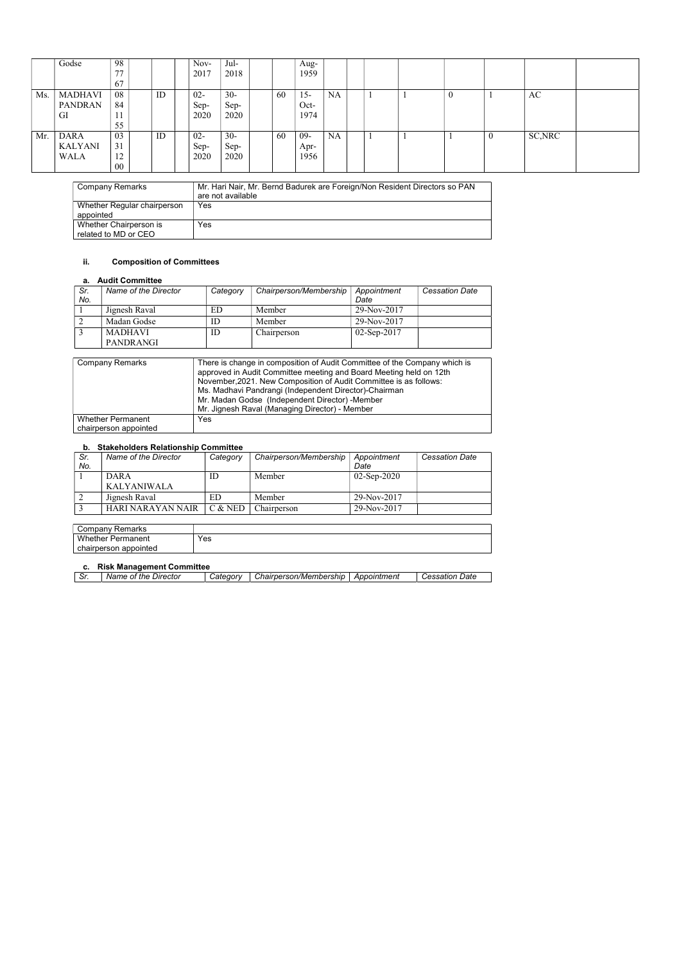| Company Remarks                                | Mr. Hari Nair, Mr. Bernd Badurek are Foreign/Non Resident Directors so PAN<br>are not available |
|------------------------------------------------|-------------------------------------------------------------------------------------------------|
| Whether Regular chairperson<br>appointed       | Yes                                                                                             |
| Whether Chairperson is<br>related to MD or CEO | Yes                                                                                             |

### ii. Composition of Committees

### a. Audit Committee

| Sr.<br>No. | Name of the Director | Category | Chairperson/Membership | Appointment<br>Date | <b>Cessation Date</b> |
|------------|----------------------|----------|------------------------|---------------------|-----------------------|
|            | Jignesh Raval        | ED       | Member                 | 29-Nov-2017         |                       |
|            | Madan Godse          |          | Member                 | 29-Nov-2017         |                       |
|            | <b>MADHAVI</b>       | ID       | Chairperson            | $02$ -Sep-2017      |                       |
|            | <b>PANDRANGI</b>     |          |                        |                     |                       |

| <b>Company Remarks</b>                            | There is change in composition of Audit Committee of the Company which is<br>approved in Audit Committee meeting and Board Meeting held on 12th<br>November, 2021. New Composition of Audit Committee is as follows:<br>Ms. Madhavi Pandrangi (Independent Director)-Chairman<br>Mr. Madan Godse (Independent Director) - Member<br>Mr. Jignesh Raval (Managing Director) - Member |
|---------------------------------------------------|------------------------------------------------------------------------------------------------------------------------------------------------------------------------------------------------------------------------------------------------------------------------------------------------------------------------------------------------------------------------------------|
| <b>Whether Permanent</b><br>chairperson appointed | Yes                                                                                                                                                                                                                                                                                                                                                                                |

### b. Stakeholders Relationship Committee

| Sr.<br>No. | Name of the Director | Category | Chairperson/Membership | Appointment<br>Date | <b>Cessation Date</b> |
|------------|----------------------|----------|------------------------|---------------------|-----------------------|
|            | DARA<br>KALYANIWALA  | ΙD       | Member                 | $02-Sep-2020$       |                       |
|            | Jignesh Raval        | ED       | Member                 | 29-Nov-2017         |                       |
|            | HARI NARAYAN NAIR    | C & NED  | Chairperson            | 29-Nov-2017         |                       |

| Remarks<br>' ompany۔   |     |
|------------------------|-----|
| Whether i<br>Permanent | Yes |
| chairperson appointed  |     |

# c. Risk Management Committee

| Chairperson/Membership<br>Date<br>Appointment<br>Director<br>Name of the<br>ateaorvٽ<br>Cessation<br>SI. | . . |  |  |  |
|----------------------------------------------------------------------------------------------------------|-----|--|--|--|
|                                                                                                          |     |  |  |  |

|     | Godse                                        | 98<br>77<br>67                       |    | Nov-<br>2017           | Jul-<br>2018           |    | Aug-<br>1959           |           |  |  |   |         |  |
|-----|----------------------------------------------|--------------------------------------|----|------------------------|------------------------|----|------------------------|-----------|--|--|---|---------|--|
| Ms. | <b>MADHAVI</b><br><b>PANDRAN</b><br>GI       | 08<br>84<br>1 I<br>55                | ID | $02 -$<br>Sep-<br>2020 | $30 -$<br>Sep-<br>2020 | 60 | $15 -$<br>Oct-<br>1974 | <b>NA</b> |  |  |   | AC      |  |
| Mr. | <b>DARA</b><br><b>KALYANI</b><br><b>WALA</b> | 03<br>31<br>$1^{\wedge}$<br>12<br>00 | ID | $02 -$<br>Sep-<br>2020 | $30 -$<br>Sep-<br>2020 | 60 | $09 -$<br>Apr-<br>1956 | <b>NA</b> |  |  | v | SC, NRC |  |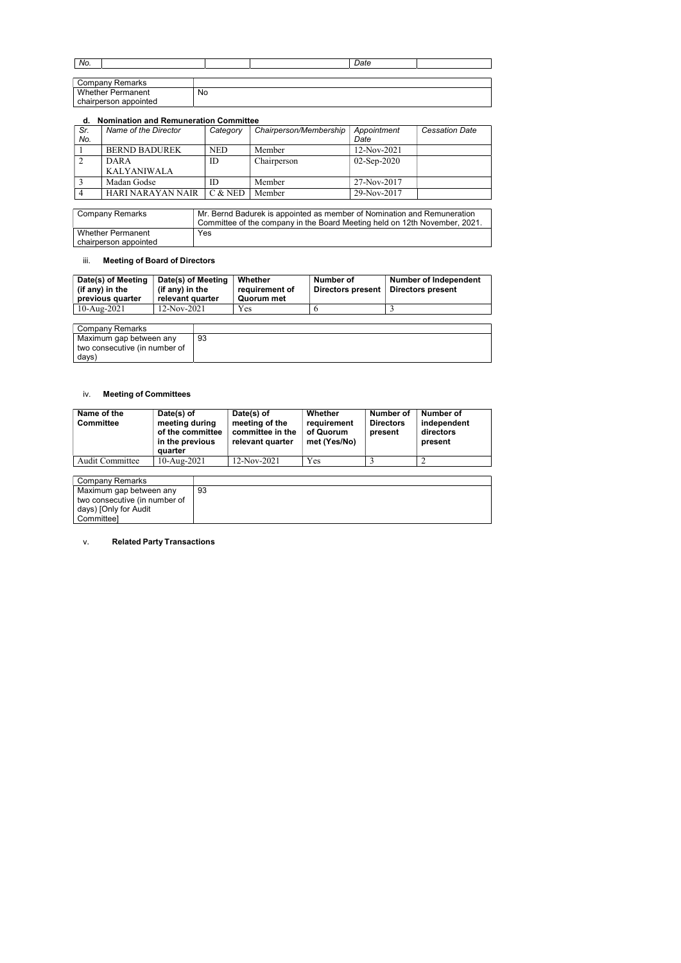| No.                      |    | Date |  |
|--------------------------|----|------|--|
|                          |    |      |  |
| Company Remarks          |    |      |  |
| <b>Whether Permanent</b> | No |      |  |
| chairperson appointed    |    |      |  |

### d. Nomination and Remuneration Committee

| Sr. | Name of the Director | Category   | Chairperson/Membership | Appointment    | <b>Cessation Date</b> |
|-----|----------------------|------------|------------------------|----------------|-----------------------|
| No. |                      |            |                        | Date           |                       |
|     | <b>BERND BADUREK</b> | <b>NED</b> | Member                 | 12-Nov-2021    |                       |
|     | DARA                 | ID         | Chairperson            | $02$ -Sep-2020 |                       |
|     | <b>KALYANIWALA</b>   |            |                        |                |                       |
|     | Madan Godse          | ID         | Member                 | 27-Nov-2017    |                       |
|     | HARI NARAYAN NAIR    | $C &$ NED  | Member                 | 29-Nov-2017    |                       |

| <b>Company Remarks</b>                            | $^\prime$ Mr. Bernd Badurek is appointed as member of Nomination and Remuneration<br>Committee of the company in the Board Meeting held on 12th November, 2021. |
|---------------------------------------------------|-----------------------------------------------------------------------------------------------------------------------------------------------------------------|
| <b>Whether Permanent</b><br>chairperson appointed | <b>Yes</b>                                                                                                                                                      |

### iii. Meeting of Board of Directors

| Date(s) of Meeting<br>(if any) in the<br>previous quarter | Date(s) of Meeting<br>(if any) in the<br>relevant quarter | Whether<br>requirement of<br>Quorum met | Number of<br>Directors present | <b>Number of Independent</b><br>Directors present |
|-----------------------------------------------------------|-----------------------------------------------------------|-----------------------------------------|--------------------------------|---------------------------------------------------|
| 10-Aug-2021                                               | $12-Nov-2021$                                             | Yes                                     |                                |                                                   |

| Company Remarks               |    |
|-------------------------------|----|
| Maximum gap between any       | 93 |
| two consecutive (in number of |    |
| days)                         |    |

### iv. Meeting of Committees

| Name of the<br><b>Committee</b> | Date(s) of<br>meeting during<br>of the committee<br>in the previous<br>quarter | Date(s) of<br>meeting of the<br>committee in the<br>relevant quarter | Whether<br>requirement<br>of Quorum<br>met (Yes/No) | Number of<br><b>Directors</b><br>present | Number of<br>independent<br>directors<br>present |
|---------------------------------|--------------------------------------------------------------------------------|----------------------------------------------------------------------|-----------------------------------------------------|------------------------------------------|--------------------------------------------------|
| <b>Audit Committee</b>          | $10$ -Aug-2021                                                                 | $12-Nov-2021$                                                        | Yes                                                 |                                          |                                                  |

| Company Remarks               |    |
|-------------------------------|----|
| Maximum gap between any       | 93 |
| two consecutive (in number of |    |
| days) [Only for Audit         |    |
| Committee]                    |    |

### v. Related Party Transactions